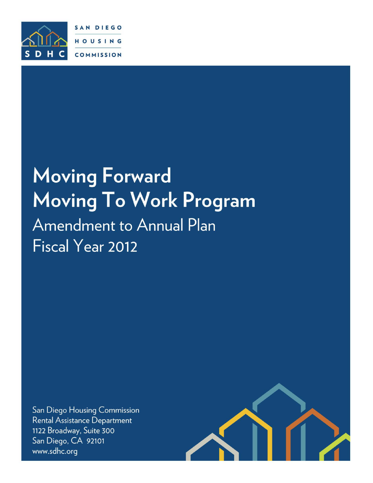

# **Moving Forward Moving to Work Program**  Moving To Work Program **Amendment to Annual Plan** Fiscal Year 2012

San Diego Housing Commission Rental Assistance Department 1122 Broadway, Suite 300 San Diego, CA 92101 www.sdhc.org

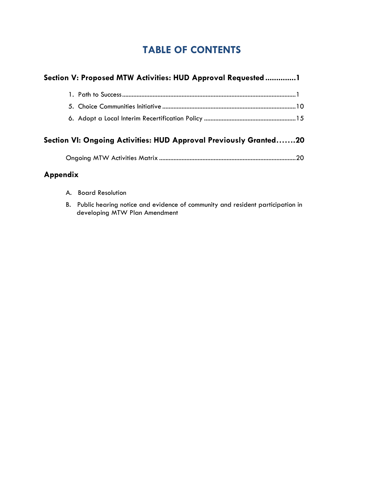# **TABLE OF CONTENTS**

|          | Section V: Proposed MTW Activities: HUD Approval Requested1                           |  |
|----------|---------------------------------------------------------------------------------------|--|
|          |                                                                                       |  |
|          |                                                                                       |  |
|          |                                                                                       |  |
|          | Section VI: Ongoing Activities: HUD Approval Previously Granted20                     |  |
| Appendix |                                                                                       |  |
|          | A. Board Resolution                                                                   |  |
|          | D. Duklis ka anima matias musluminismas af asmoninitar muslumatshant mantais attau in |  |

B. Public hearing notice and evidence of community and resident participation in developing MTW Plan Amendment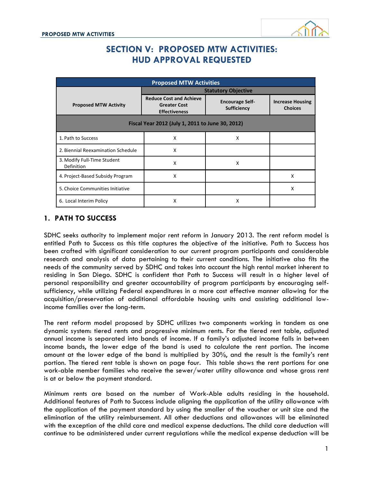

### **SECTION V: PROPOSED MTW ACTIVITIES: HUD APPROVAL REQUESTED**

| <b>Proposed MTW Activities</b>                   |                                                                               |                                              |                                           |  |  |  |  |  |  |  |  |
|--------------------------------------------------|-------------------------------------------------------------------------------|----------------------------------------------|-------------------------------------------|--|--|--|--|--|--|--|--|
|                                                  | <b>Statutory Objective</b>                                                    |                                              |                                           |  |  |  |  |  |  |  |  |
| <b>Proposed MTW Activity</b>                     | <b>Reduce Cost and Achieve</b><br><b>Greater Cost</b><br><b>Effectiveness</b> | <b>Encourage Self-</b><br><b>Sufficiency</b> | <b>Increase Housing</b><br><b>Choices</b> |  |  |  |  |  |  |  |  |
| Fiscal Year 2012 (July 1, 2011 to June 30, 2012) |                                                                               |                                              |                                           |  |  |  |  |  |  |  |  |
| 1. Path to Success                               | X                                                                             | X                                            |                                           |  |  |  |  |  |  |  |  |
| 2. Biennial Reexamination Schedule               | X                                                                             |                                              |                                           |  |  |  |  |  |  |  |  |
| 3. Modify Full-Time Student<br>Definition        | X                                                                             | X                                            |                                           |  |  |  |  |  |  |  |  |
| 4. Project-Based Subsidy Program                 | X                                                                             |                                              | x                                         |  |  |  |  |  |  |  |  |
| 5. Choice Communities Initiative                 |                                                                               |                                              | X                                         |  |  |  |  |  |  |  |  |
| 6. Local Interim Policy                          | X                                                                             | x                                            |                                           |  |  |  |  |  |  |  |  |

#### **1. PATH TO SUCCESS**

SDHC seeks authority to implement major rent reform in January 2013. The rent reform model is entitled Path to Success as this title captures the objective of the initiative. Path to Success has been crafted with significant consideration to our current program participants and considerable research and analysis of data pertaining to their current conditions. The initiative also fits the needs of the community served by SDHC and takes into account the high rental market inherent to residing in San Diego. SDHC is confident that Path to Success will result in a higher level of personal responsibility and greater accountability of program participants by encouraging selfsufficiency, while utilizing Federal expenditures in a more cost effective manner allowing for the acquisition/preservation of additional affordable housing units and assisting additional lowincome families over the long-term.

The rent reform model proposed by SDHC utilizes two components working in tandem as one dynamic system: tiered rents and progressive minimum rents. For the tiered rent table, adjusted annual income is separated into bands of income. If a family's adjusted income falls in between income bands, the lower edge of the band is used to calculate the rent portion. The income amount at the lower edge of the band is multiplied by 30%, and the result is the family's rent portion. The tiered rent table is shown on page four. This table shows the rent portions for one work-able member families who receive the sewer/water utility allowance and whose gross rent is at or below the payment standard.

Minimum rents are based on the number of Work-Able adults residing in the household. Additional features of Path to Success include aligning the application of the utility allowance with the application of the payment standard by using the smaller of the voucher or unit size and the elimination of the utility reimbursement. All other deductions and allowances will be eliminated with the exception of the child care and medical expense deductions. The child care deduction will continue to be administered under current regulations while the medical expense deduction will be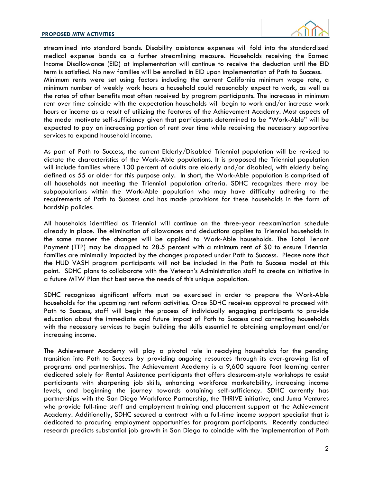

streamlined into standard bands. Disability assistance expenses will fold into the standardized medical expense bands as a further streamlining measure. Households receiving the Earned Income Disallowance (EID) at implementation will continue to receive the deduction until the EID term is satisfied. No new families will be enrolled in EID upon implementation of Path to Success. Minimum rents were set using factors including the current California minimum wage rate, a minimum number of weekly work hours a household could reasonably expect to work, as well as the rates of other benefits most often received by program participants. The increases in minimum rent over time coincide with the expectation households will begin to work and/or increase work hours or income as a result of utilizing the features of the Achievement Academy. Most aspects of the model motivate self-sufficiency given that participants determined to be "Work-Able" will be expected to pay an increasing portion of rent over time while receiving the necessary supportive services to expand household income.

As part of Path to Success, the current Elderly/Disabled Triennial population will be revised to dictate the characteristics of the Work-Able populations. It is proposed the Triennial population will include families where 100 percent of adults are elderly and/or disabled, with elderly being defined as 55 or older for this purpose only. In short, the Work-Able population is comprised of all households not meeting the Triennial population criteria. SDHC recognizes there may be subpopulations within the Work-Able population who may have difficulty adhering to the requirements of Path to Success and has made provisions for these households in the form of hardship policies.

All households identified as Triennial will continue on the three-year reexamination schedule already in place. The elimination of allowances and deductions applies to Triennial households in the same manner the changes will be applied to Work-Able households. The Total Tenant Payment (TTP) may be dropped to 28.5 percent with a minimum rent of \$0 to ensure Triennial families are minimally impacted by the changes proposed under Path to Success. Please note that the HUD VASH program participants will not be included in the Path to Success model at this point. SDHC plans to collaborate with the Veteran's Administration staff to create an initiative in a future MTW Plan that best serve the needs of this unique population.

SDHC recognizes significant efforts must be exercised in order to prepare the Work-Able households for the upcoming rent reform activities. Once SDHC receives approval to proceed with Path to Success, staff will begin the process of individually engaging participants to provide education about the immediate and future impact of Path to Success and connecting households with the necessary services to begin building the skills essential to obtaining employment and/or increasing income.

The Achievement Academy will play a pivotal role in readying households for the pending transition into Path to Success by providing ongoing resources through its ever-growing list of programs and partnerships. The Achievement Academy is a 9,600 square foot learning center dedicated solely for Rental Assistance participants that offers classroom-style workshops to assist participants with sharpening job skills, enhancing workforce marketability, increasing income levels, and beginning the journey towards obtaining self-sufficiency. SDHC currently has partnerships with the San Diego Workforce Partnership, the THRIVE initiative, and Juma Ventures who provide full-time staff and employment training and placement support at the Achievement Academy. Additionally, SDHC secured a contract with a full-time income support specialist that is dedicated to procuring employment opportunities for program participants. Recently conducted research predicts substantial job growth in San Diego to coincide with the implementation of Path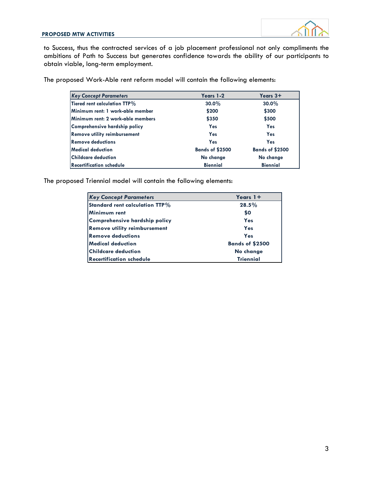

to Success, thus the contracted services of a job placement professional not only compliments the ambitions of Path to Success but generates confidence towards the ability of our participants to obtain viable, long-term employment.

The proposed Work-Able rent reform model will contain the following elements:

| <b>Key Concept Parameters</b>       | Years 1-2              | Years 3+               |
|-------------------------------------|------------------------|------------------------|
| Tiered rent calculation TTP%        | $30.0\%$               | $30.0\%$               |
| Minimum rent: 1 work-able member    | \$200                  | \$300                  |
| Minimum rent: 2 work-able members   | \$350                  | \$500                  |
| Comprehensive hardship policy       | Yes                    | Yes                    |
| <b>Remove utility reimbursement</b> | Yes                    | Yes                    |
| <b>Remove deductions</b>            | Yes                    | Yes                    |
| Medical deduction                   | <b>Bands of \$2500</b> | <b>Bands of \$2500</b> |
| Childcare deduction                 | No change              | No change              |
| <b>Recertification schedule</b>     | <b>Biennial</b>        | <b>Biennial</b>        |

The proposed Triennial model will contain the following elements:

| <b>Key Concept Parameters</b>       | Years $1+$             |
|-------------------------------------|------------------------|
| Standard rent calculation TTP%      | 28.5%                  |
| Minimum rent                        | \$0                    |
| Comprehensive hardship policy       | Yes                    |
| <b>Remove utility reimbursement</b> | Yes                    |
| <b>Remove deductions</b>            | Yes                    |
| Medical deduction                   | <b>Bands of \$2500</b> |
| <b>Childcare deduction</b>          | No change              |
| <b>Recertification schedule</b>     | <b>Triennial</b>       |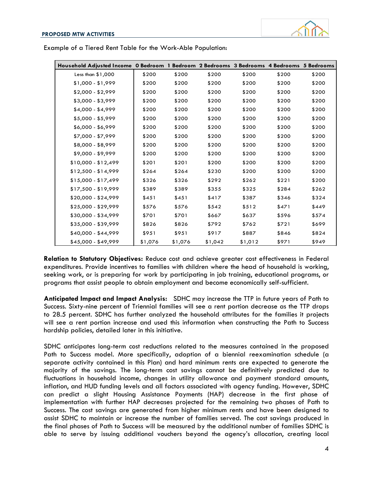

| Household Adjusted Income 0 Bedroom 1 Bedroom 2 Bedrooms 3 Bedrooms 4 Bedrooms 5 Bedrooms |         |         |         |         |       |       |
|-------------------------------------------------------------------------------------------|---------|---------|---------|---------|-------|-------|
| Less than \$1,000                                                                         | \$200   | \$200   | \$200   | \$200   | \$200 | \$200 |
| $$1,000 - $1,999$                                                                         | \$200   | \$200   | \$200   | \$200   | \$200 | \$200 |
| $$2,000 - $2,999$                                                                         | \$200   | \$200   | \$200   | \$200   | \$200 | \$200 |
| $$3,000 - $3,999$                                                                         | \$200   | \$200   | \$200   | \$200   | \$200 | \$200 |
| $$4,000 - $4,999$                                                                         | \$200   | \$200   | \$200   | \$200   | \$200 | \$200 |
| $$5,000 - $5,999$                                                                         | \$200   | \$200   | \$200   | \$200   | \$200 | \$200 |
| \$6,000 - \$6,999                                                                         | \$200   | \$200   | \$200   | \$200   | \$200 | \$200 |
| $$7,000 - $7,999$                                                                         | \$200   | \$200   | \$200   | \$200   | \$200 | \$200 |
| $$8,000 - $8,999$                                                                         | \$200   | \$200   | \$200   | \$200   | \$200 | \$200 |
| $$9,000 - $9,999$                                                                         | \$200   | \$200   | \$200   | \$200   | \$200 | \$200 |
| $$10,000 - $12,499$                                                                       | \$201   | \$201   | \$200   | \$200   | \$200 | \$200 |
| $$12,500 - $14,999$                                                                       | \$264   | \$264   | \$230   | \$200   | \$200 | \$200 |
| $$15,000 - $17,499$                                                                       | \$326   | \$326   | \$292   | \$262   | \$221 | \$200 |
| $$17,500 - $19,999$                                                                       | \$389   | \$389   | \$355   | \$325   | \$284 | \$262 |
| \$20,000 - \$24,999                                                                       | \$451   | \$451   | \$417   | \$387   | \$346 | \$324 |
| \$25,000 - \$29,999                                                                       | \$576   | \$576   | \$542   | \$512   | \$471 | \$449 |
| \$30,000 - \$34,999                                                                       | \$701   | \$701   | \$667   | \$637   | \$596 | \$574 |
| $$35,000 - $39,999$                                                                       | \$826   | \$826   | \$792   | \$762   | \$721 | \$699 |
| $$40,000 - $44,999$                                                                       | \$951   | \$951   | \$917   | \$887   | \$846 | \$824 |
| \$45,000 - \$49,999                                                                       | \$1,076 | \$1,076 | \$1,042 | \$1,012 | \$971 | \$949 |

Example of a Tiered Rent Table for the Work-Able Population:

**Relation to Statutory Objectives:** Reduce cost and achieve greater cost effectiveness in Federal expenditures. Provide incentives to families with children where the head of household is working, seeking work, or is preparing for work by participating in job training, educational programs, or programs that assist people to obtain employment and become economically self-sufficient.

**Anticipated Impact and Impact Analysis:** SDHC may increase the TTP in future years of Path to Success. Sixty-nine percent of Triennial families will see a rent portion decrease as the TTP drops to 28.5 percent. SDHC has further analyzed the household attributes for the families it projects will see a rent portion increase and used this information when constructing the Path to Success hardship policies, detailed later in this initiative.

SDHC anticipates long-term cost reductions related to the measures contained in the proposed Path to Success model. More specifically, adoption of a biennial reexamination schedule (a separate activity contained in this Plan) and hard minimum rents are expected to generate the majority of the savings. The long-term cost savings cannot be definitively predicted due to fluctuations in household income, changes in utility allowance and payment standard amounts, inflation, and HUD funding levels and all factors associated with agency funding. However, SDHC can predict a slight Housing Assistance Payments (HAP) decrease in the first phase of implementation with further HAP decreases projected for the remaining two phases of Path to Success. The cost savings are generated from higher minimum rents and have been designed to assist SDHC to maintain or increase the number of families served. The cost savings produced in the final phases of Path to Success will be measured by the additional number of families SDHC is able to serve by issuing additional vouchers beyond the agency's allocation, creating local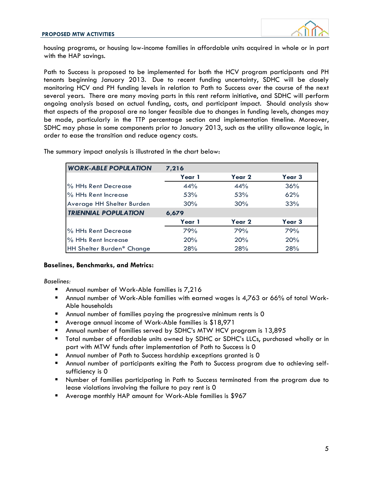

housing programs, or housing low-income families in affordable units acquired in whole or in part with the HAP savings.

Path to Success is proposed to be implemented for both the HCV program participants and PH tenants beginning January 2013. Due to recent funding uncertainty, SDHC will be closely monitoring HCV and PH funding levels in relation to Path to Success over the course of the next several years. There are many moving parts in this rent reform initiative, and SDHC will perform ongoing analysis based on actual funding, costs, and participant impact. Should analysis show that aspects of the proposal are no longer feasible due to changes in funding levels, changes may be made, particularly in the TTP percentage section and implementation timeline. Moreover, SDHC may phase in some components prior to January 2013, such as the utility allowance logic, in order to ease the transition and reduce agency costs.

| <b>WORK-ABLE POPULATION</b> | 7,216  |                   |                   |
|-----------------------------|--------|-------------------|-------------------|
|                             | Year 1 | Year <sub>2</sub> | Year <sub>3</sub> |
| % HHs Rent Decrease         | 44%    | 44%               | 36%               |
| % HHs Rent Increase         | 53%    | 53%               | 62%               |
| Average HH Shelter Burden   | 30%    | 30%               | 33%               |
| <b>TRIENNIAL POPULATION</b> | 6,679  |                   |                   |
|                             | Year 1 | Year <sub>2</sub> | Year <sub>3</sub> |
| % HHs Rent Decrease         | 79%    | 79%               | 79%               |
| % HHs Rent Increase         | 20%    | 20%               | 20%               |
| HH Shelter Burden* Change   | 28%    | 28%               | 28%               |

The summary impact analysis is illustrated in the chart below:

#### **Baselines, Benchmarks, and Metrics:**

*Baselines:*

- Annual number of Work-Able families is 7,216
- Annual number of Work-Able families with earned wages is 4,763 or 66% of total Work-Able households
- Annual number of families paying the progressive minimum rents is 0
- Average annual income of Work-Able families is \$18,971
- Annual number of families served by SDHC's MTW HCV program is 13,895
- Total number of affordable units owned by SDHC or SDHC's LLCs, purchased wholly or in part with MTW funds after implementation of Path to Success is 0
- Annual number of Path to Success hardship exceptions granted is 0
- Annual number of participants exiting the Path to Success program due to achieving selfsufficiency is 0
- Number of families participating in Path to Success terminated from the program due to lease violations involving the failure to pay rent is 0
- Average monthly HAP amount for Work-Able families is \$967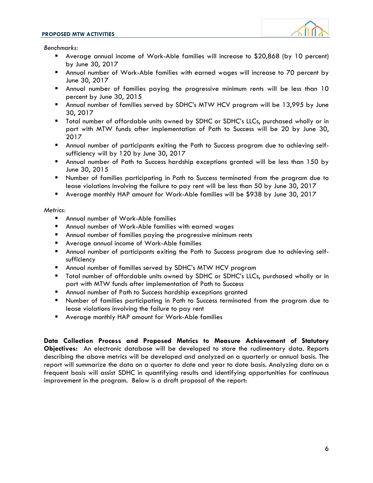#### **PROPOSED MTW ACTIVITIES**



*Benchmarks:*

- Average annual income of Work-Able families will increase to \$20,868 (by 10 percent) by June 30, 2017
- Annual number of Work-Able families with earned wages will increase to 70 percent by June 30, 2017
- Annual number of families paying the progressive minimum rents will be less than 10 percent by June 30, 2015
- Annual number of families served by SDHC's MTW HCV program will be 13,995 by June 30, 2017
- Total number of affordable units owned by SDHC or SDHC's LLCs, purchased wholly or in part with MTW funds after implementation of Path to Success will be 20 by June 30, 2017
- Annual number of participants exiting the Path to Success program due to achieving selfsufficiency will by 120 by June 30, 2017
- Annual number of Path to Success hardship exceptions granted will be less than 150 by June 30, 2015
- Number of families participating in Path to Success terminated from the program due to lease violations involving the failure to pay rent will be less than 50 by June 30, 2017
- Average monthly HAP amount for Work-Able families will be \$938 by June 30, 2017

#### *Metrics:*

- Annual number of Work-Able families
- Annual number of Work-Able families with earned wages
- Annual number of families paying the progressive minimum rents
- Average annual income of Work-Able families
- Annual number of participants exiting the Path to Success program due to achieving selfsufficiency
- Annual number of families served by SDHC's MTW HCV program
- Total number of affordable units owned by SDHC or SDHC's LLCs, purchased wholly or in part with MTW funds after implementation of Path to Success
- Annual number of Path to Success hardship exceptions granted
- Number of families participating in Path to Success terminated from the program due to lease violations involving the failure to pay rent
- Average monthly HAP amount for Work-Able families

**Data Collection Process and Proposed Metrics to Measure Achievement of Statutory Objectives:** An electronic database will be developed to store the rudimentary data. Reports describing the above metrics will be developed and analyzed on a quarterly or annual basis. The report will summarize the data on a quarter to date and year to date basis. Analyzing data on a frequent basis will assist SDHC in quantifying results and identifying opportunities for continuous improvement in the program. Below is a draft proposal of the report: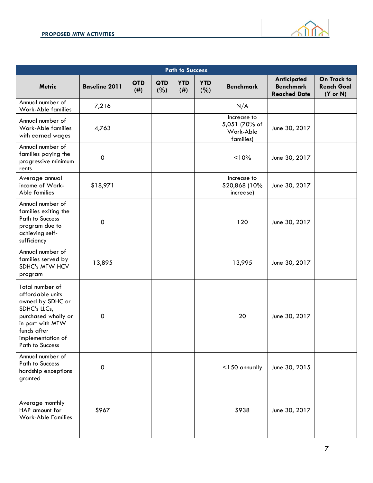

| <b>Path to Success</b>                                                                                                                                                    |                      |                    |                    |                    |                   |                                                        |                                                        |                                                         |  |  |  |  |
|---------------------------------------------------------------------------------------------------------------------------------------------------------------------------|----------------------|--------------------|--------------------|--------------------|-------------------|--------------------------------------------------------|--------------------------------------------------------|---------------------------------------------------------|--|--|--|--|
| <b>Metric</b>                                                                                                                                                             | <b>Baseline 2011</b> | <b>QTD</b><br>(# ) | <b>QTD</b><br>(% ) | <b>YTD</b><br>(# ) | <b>YTD</b><br>(%) | <b>Benchmark</b>                                       | Anticipated<br><b>Benchmark</b><br><b>Reached Date</b> | On Track to<br><b>Reach Goal</b><br>$(Y \text{ or } N)$ |  |  |  |  |
| Annual number of<br>Work-Able families                                                                                                                                    | 7,216                |                    |                    |                    |                   | N/A                                                    |                                                        |                                                         |  |  |  |  |
| Annual number of<br>Work-Able families<br>with earned wages                                                                                                               | 4,763                |                    |                    |                    |                   | Increase to<br>5,051 (70% of<br>Work-Able<br>families) | June 30, 2017                                          |                                                         |  |  |  |  |
| Annual number of<br>families paying the<br>progressive minimum<br>rents                                                                                                   | $\mathbf 0$          |                    |                    |                    |                   | < 10%                                                  | June 30, 2017                                          |                                                         |  |  |  |  |
| Average annual<br>income of Work-<br>Able families                                                                                                                        | \$18,971             |                    |                    |                    |                   | Increase to<br>\$20,868 (10%<br>increase)              | June 30, 2017                                          |                                                         |  |  |  |  |
| Annual number of<br>families exiting the<br>Path to Success<br>program due to<br>achieving self-<br>sufficiency                                                           | $\mathbf 0$          |                    |                    |                    |                   | 120                                                    | June 30, 2017                                          |                                                         |  |  |  |  |
| Annual number of<br>families served by<br>SDHC's MTW HCV<br>program                                                                                                       | 13,895               |                    |                    |                    |                   | 13,995                                                 | June 30, 2017                                          |                                                         |  |  |  |  |
| Total number of<br>affordable units<br>owned by SDHC or<br>SDHC's LLCs,<br>purchased wholly or<br>in part with MTW<br>funds after<br>implementation of<br>Path to Success | $\pmb{0}$            |                    |                    |                    |                   | 20                                                     | June 30, 2017                                          |                                                         |  |  |  |  |
| Annual number of<br><b>Path to Success</b><br>hardship exceptions<br>granted                                                                                              | $\mathsf{O}\xspace$  |                    |                    |                    |                   | $<$ 150 annually                                       | June 30, 2015                                          |                                                         |  |  |  |  |
| Average monthly<br>HAP amount for<br><b>Work-Able Families</b>                                                                                                            | \$967                |                    |                    |                    |                   | \$938                                                  | June 30, 2017                                          |                                                         |  |  |  |  |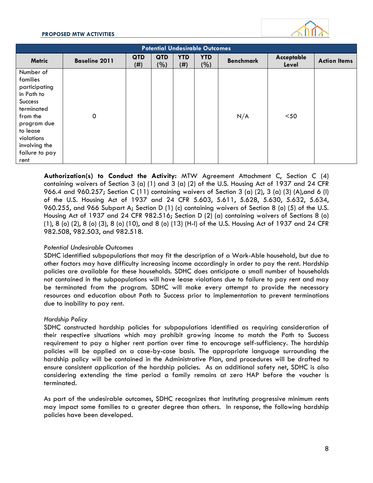#### **PROPOSED MTW ACTIVITIES**



| <b>Potential Undesirable Outcomes</b>                                                                                                                                                |                      |                   |                   |                    |                   |                  |                     |                     |  |  |  |  |  |
|--------------------------------------------------------------------------------------------------------------------------------------------------------------------------------------|----------------------|-------------------|-------------------|--------------------|-------------------|------------------|---------------------|---------------------|--|--|--|--|--|
| <b>Metric</b>                                                                                                                                                                        | <b>Baseline 2011</b> | <b>QTD</b><br>(#) | <b>QTD</b><br>(%) | <b>YTD</b><br>(# ) | <b>YTD</b><br>(%) | <b>Benchmark</b> | Acceptable<br>Level | <b>Action Items</b> |  |  |  |  |  |
| Number of<br>families<br>participating<br>in Path to<br><b>Success</b><br>terminated<br>from the<br>program due<br>to lease<br>violations<br>involving the<br>failure to pay<br>rent | 0                    |                   |                   |                    |                   | N/A              | $50$                |                     |  |  |  |  |  |

**Authorization(s) to Conduct the Activity:** MTW Agreement Attachment C, Section C (4) containing waivers of Section 3 (a) (1) and 3 (a) (2) of the U.S. Housing Act of 1937 and 24 CFR 966.4 and 960.257; Section C (11) containing waivers of Section 3 (a) (2), 3 (a) (3) (A),and 6 (l) of the U.S. Housing Act of 1937 and 24 CFR 5.603, 5.611, 5.628, 5.630, 5.632, 5.634, 960.255, and 966 Subpart A; Section D (1) (c) containing waivers of Section 8 (o) (5) of the U.S. Housing Act of 1937 and 24 CFR 982.516; Section D (2) (a) containing waivers of Sections 8 (o) (1), 8 (o) (2), 8 (o) (3), 8 (o) (10), and 8 (o) (13) (H-I) of the U.S. Housing Act of 1937 and 24 CFR 982.508, 982.503, and 982.518.

#### *Potential Undesirable Outcomes*

SDHC identified subpopulations that may fit the description of a Work-Able household, but due to other factors may have difficulty increasing income accordingly in order to pay the rent. Hardship policies are available for these households. SDHC does anticipate a small number of households not contained in the subpopulations will have lease violations due to failure to pay rent and may be terminated from the program. SDHC will make every attempt to provide the necessary resources and education about Path to Success prior to implementation to prevent terminations due to inability to pay rent.

#### *Hardship Policy*

SDHC constructed hardship policies for subpopulations identified as requiring consideration of their respective situations which may prohibit growing income to match the Path to Success requirement to pay a higher rent portion over time to encourage self-sufficiency. The hardship policies will be applied on a case-by-case basis. The appropriate language surrounding the hardship policy will be contained in the Administrative Plan, and procedures will be drafted to ensure consistent application of the hardship policies. As an additional safety net, SDHC is also considering extending the time period a family remains at zero HAP before the voucher is terminated.

As part of the undesirable outcomes, SDHC recognizes that instituting progressive minimum rents may impact some families to a greater degree than others. In response, the following hardship policies have been developed.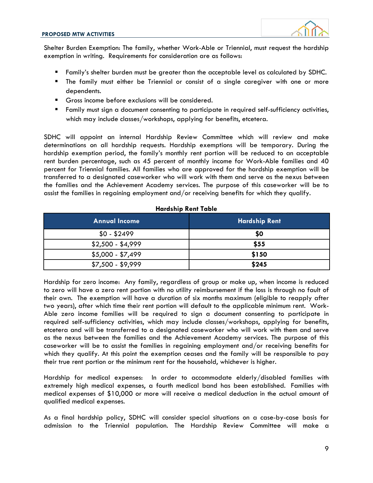

Shelter Burden Exemption: The family, whether Work-Able or Triennial, must request the hardship exemption in writing. Requirements for consideration are as follows:

- Family's shelter burden must be greater than the acceptable level as calculated by SDHC.
- The family must either be Triennial or consist of a single caregiver with one or more dependents.
- Gross income before exclusions will be considered.
- Family must sign a document consenting to participate in required self-sufficiency activities, which may include classes/workshops, applying for benefits, etcetera.

SDHC will appoint an internal Hardship Review Committee which will review and make determinations on all hardship requests. Hardship exemptions will be temporary. During the hardship exemption period, the family's monthly rent portion will be reduced to an acceptable rent burden percentage, such as 45 percent of monthly income for Work-Able families and 40 percent for Triennial families. All families who are approved for the hardship exemption will be transferred to a designated caseworker who will work with them and serve as the nexus between the families and the Achievement Academy services. The purpose of this caseworker will be to assist the families in regaining employment and/or receiving benefits for which they qualify.

| <b>Annual Income</b> | <b>Hardship Rent</b> |  |  |  |  |  |  |
|----------------------|----------------------|--|--|--|--|--|--|
| $$0 - $2499$         | \$0                  |  |  |  |  |  |  |
| $$2,500 - $4,999$    | \$55                 |  |  |  |  |  |  |
| $$5,000 - $7,499$    | \$150                |  |  |  |  |  |  |
| $$7,500 - $9,999$    | \$245                |  |  |  |  |  |  |

#### **Hardship Rent Table**

Hardship for zero income: Any family, regardless of group or make up, when income is reduced to zero will have a zero rent portion with no utility reimbursement if the loss is through no fault of their own. The exemption will have a duration of six months maximum (eligible to reapply after two years), after which time their rent portion will default to the applicable minimum rent. Work-Able zero income families will be required to sign a document consenting to participate in required self-sufficiency activities, which may include classes/workshops, applying for benefits, etcetera and will be transferred to a designated caseworker who will work with them and serve as the nexus between the families and the Achievement Academy services. The purpose of this caseworker will be to assist the families in regaining employment and/or receiving benefits for which they qualify. At this point the exemption ceases and the family will be responsible to pay their true rent portion or the minimum rent for the household, whichever is higher.

Hardship for medical expenses: In order to accommodate elderly/disabled families with extremely high medical expenses, a fourth medical band has been established. Families with medical expenses of \$10,000 or more will receive a medical deduction in the actual amount of qualified medical expenses.

As a final hardship policy, SDHC will consider special situations on a case-by-case basis for admission to the Triennial population. The Hardship Review Committee will make a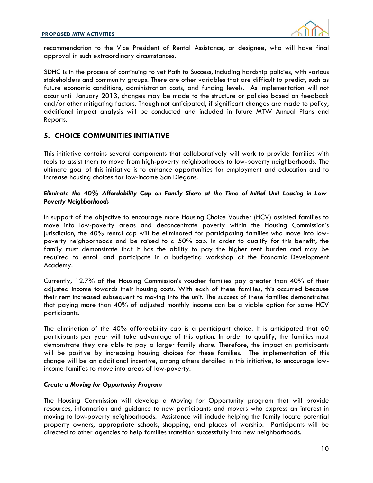

recommendation to the Vice President of Rental Assistance, or designee, who will have final approval in such extraordinary circumstances.

SDHC is in the process of continuing to vet Path to Success, including hardship policies, with various stakeholders and community groups. There are other variables that are difficult to predict, such as future economic conditions, administration costs, and funding levels. As implementation will not occur until January 2013, changes may be made to the structure or policies based on feedback and/or other mitigating factors. Though not anticipated, if significant changes are made to policy, additional impact analysis will be conducted and included in future MTW Annual Plans and Reports.

#### **5. CHOICE COMMUNITIES INITIATIVE**

This initiative contains several components that collaboratively will work to provide families with tools to assist them to move from high-poverty neighborhoods to low-poverty neighborhoods. The ultimate goal of this initiative is to enhance opportunities for employment and education and to increase housing choices for low-income San Diegans.

#### *Eliminate the 40% Affordability Cap on Family Share at the Time of Initial Unit Leasing in Low-Poverty Neighborhoods*

In support of the objective to encourage more Housing Choice Voucher (HCV) assisted families to move into low-poverty areas and deconcentrate poverty within the Housing Commission's jurisdiction, the 40% rental cap will be eliminated for participating families who move into lowpoverty neighborhoods and be raised to a 50% cap. In order to qualify for this benefit, the family must demonstrate that it has the ability to pay the higher rent burden and may be required to enroll and participate in a budgeting workshop at the Economic Development Academy.

Currently, 12.7% of the Housing Commission's voucher families pay greater than 40% of their adjusted income towards their housing costs. With each of these families, this occurred because their rent increased subsequent to moving into the unit. The success of these families demonstrates that paying more than 40% of adjusted monthly income can be a viable option for some HCV participants.

The elimination of the 40% affordability cap is a participant choice. It is anticipated that 60 participants per year will take advantage of this option. In order to qualify, the families must demonstrate they are able to pay a larger family share. Therefore, the impact on participants will be positive by increasing housing choices for these families. The implementation of this change will be an additional incentive, among others detailed in this initiative, to encourage lowincome families to move into areas of low-poverty.

#### *Create a Moving for Opportunity Program*

The Housing Commission will develop a Moving for Opportunity program that will provide resources, information and guidance to new participants and movers who express an interest in moving to low-poverty neighborhoods. Assistance will include helping the family locate potential property owners, appropriate schools, shopping, and places of worship. Participants will be directed to other agencies to help families transition successfully into new neighborhoods.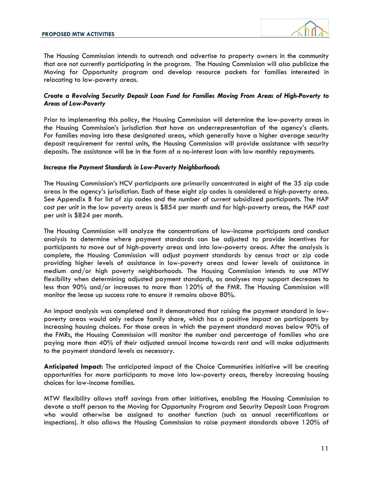

The Housing Commission intends to outreach and advertise to property owners in the community that are not currently participating in the program. The Housing Commission will also publicize the Moving for Opportunity program and develop resource packets for families interested in relocating to low-poverty areas.

#### *Create a Revolving Security Deposit Loan Fund for Families Moving From Areas of High-Poverty to Areas of Low-Poverty*

Prior to implementing this policy, the Housing Commission will determine the low-poverty areas in the Housing Commission's jurisdiction that have an underrepresentation of the agency's clients. For families moving into these designated areas, which generally have a higher average security deposit requirement for rental units, the Housing Commission will provide assistance with security deposits. The assistance will be in the form of a no-interest loan with low monthly repayments.

#### *Increase the Payment Standards in Low-Poverty Neighborhoods*

The Housing Commission's HCV participants are primarily concentrated in eight of the 35 zip code areas in the agency's jurisdiction. Each of these eight zip codes is considered a high-poverty area. See Appendix B for list of zip codes and the number of current subsidized participants. The HAP cost per unit in the low poverty areas is \$854 per month and for high-poverty areas, the HAP cost per unit is \$824 per month.

The Housing Commission will analyze the concentrations of low-income participants and conduct analysis to determine where payment standards can be adjusted to provide incentives for participants to move out of high-poverty areas and into low-poverty areas. After the analysis is complete, the Housing Commission will adjust payment standards by census tract or zip code providing higher levels of assistance in low-poverty areas and lower levels of assistance in medium and/or high poverty neighborhoods. The Housing Commission intends to use MTW flexibility when determining adjusted payment standards, as analyses may support decreases to less than 90% and/or increases to more than 120% of the FMR. The Housing Commission will monitor the lease up success rate to ensure it remains above 80%.

An impact analysis was completed and it demonstrated that raising the payment standard in lowpoverty areas would only reduce family share, which has a positive impact on participants by increasing housing choices. For those areas in which the payment standard moves below 90% of the FMRs, the Housing Commission will monitor the number and percentage of families who are paying more than 40% of their adjusted annual income towards rent and will make adjustments to the payment standard levels as necessary.

**Anticipated Impact:** The anticipated impact of the Choice Communities initiative will be creating opportunities for more participants to move into low-poverty areas, thereby increasing housing choices for low-income families.

MTW flexibility allows staff savings from other initiatives, enabling the Housing Commission to devote a staff person to the Moving for Opportunity Program and Security Deposit Loan Program who would otherwise be assigned to another function (such as annual recertifications or inspections). It also allows the Housing Commission to raise payment standards above 120% of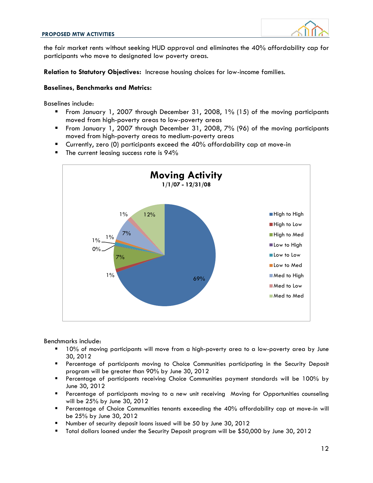

the fair market rents without seeking HUD approval and eliminates the 40% affordability cap for participants who move to designated low poverty areas.

**Relation to Statutory Objectives:** Increase housing choices for low-income families.

#### **Baselines, Benchmarks and Metrics:**

Baselines include:

- From January 1, 2007 through December 31, 2008, 1% (15) of the moving participants moved from high-poverty areas to low-poverty areas
- From January 1, 2007 through December 31, 2008, 7% (96) of the moving participants moved from high-poverty areas to medium-poverty areas
- Currently, zero (0) participants exceed the 40% affordability cap at move-in
- $\blacksquare$  The current leasing success rate is 94%



Benchmarks include:

- 10% of moving participants will move from a high-poverty area to a low-poverty area by June 30, 2012
- Percentage of participants moving to Choice Communities participating in the Security Deposit program will be greater than 90% by June 30, 2012
- Percentage of participants receiving Choice Communities payment standards will be 100% by June 30, 2012
- **Percentage of participants moving to a new unit receiving Moving for Opportunities counseling** will be 25% by June 30, 2012
- Percentage of Choice Communities tenants exceeding the 40% affordability cap at move-in will be 25% by June 30, 2012
- Number of security deposit loans issued will be 50 by June 30, 2012
- Total dollars loaned under the Security Deposit program will be \$50,000 by June 30, 2012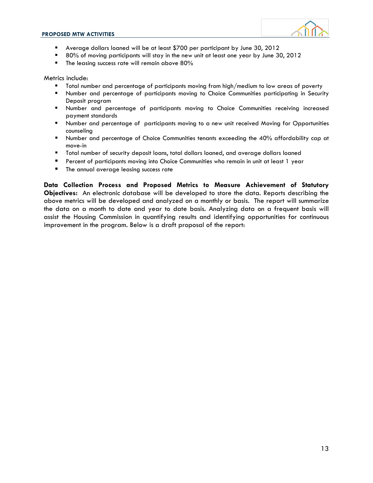

- Average dollars loaned will be at least \$700 per participant by June 30, 2012
- 80% of moving participants will stay in the new unit at least one year by June 30, 2012
- $\blacksquare$  The leasing success rate will remain above 80%

Metrics include:

- Total number and percentage of participants moving from high/medium to low areas of poverty
- Number and percentage of participants moving to Choice Communities participating in Security Deposit program
- Number and percentage of participants moving to Choice Communities receiving increased payment standards
- Number and percentage of participants moving to a new unit received Moving for Opportunities counseling
- **Number and percentage of Choice Communities tenants exceeding the 40% affordability cap at 40%** move-in
- Total number of security deposit loans, total dollars loaned, and average dollars loaned
- Percent of participants moving into Choice Communities who remain in unit at least 1 year
- **The annual average leasing success rate**

**Data Collection Process and Proposed Metrics to Measure Achievement of Statutory Objectives:** An electronic database will be developed to store the data. Reports describing the above metrics will be developed and analyzed on a monthly or basis. The report will summarize the data on a month to date and year to date basis. Analyzing data on a frequent basis will assist the Housing Commission in quantifying results and identifying opportunities for continuous improvement in the program. Below is a draft proposal of the report: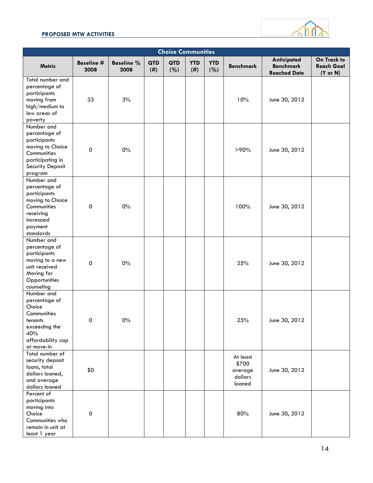#### **PROPOSED MTW ACTIVITIES**



| <b>Choice Communities</b>                                                                                                         |                     |                           |                    |            |                   |                   |                                                   |                                                        |                                                         |  |  |
|-----------------------------------------------------------------------------------------------------------------------------------|---------------------|---------------------------|--------------------|------------|-------------------|-------------------|---------------------------------------------------|--------------------------------------------------------|---------------------------------------------------------|--|--|
| <b>Metric</b>                                                                                                                     | Baseline #<br>2008  | <b>Baseline %</b><br>2008 | <b>QTD</b><br>(# ) | QTD<br>(%) | <b>YTD</b><br>(#) | <b>YTD</b><br>(%) | <b>Benchmark</b>                                  | Anticipated<br><b>Benchmark</b><br><b>Reached Date</b> | On Track to<br><b>Reach Goal</b><br>$(Y \text{ or } N)$ |  |  |
| Total number and<br>percentage of<br>participants<br>moving from<br>high/medium to<br>low areas of<br>poverty                     | 33                  | 3%                        |                    |            |                   |                   | 10%                                               | June 30, 2012                                          |                                                         |  |  |
| Number and<br>percentage of<br>participants<br>moving to Choice<br>Communities<br>participating in<br>Security Deposit<br>program | $\mathbf 0$         | 0%                        |                    |            |                   |                   | $>90\%$                                           | June 30, 2012                                          |                                                         |  |  |
| Number and<br>percentage of<br>participants<br>moving to Choice<br>Communities<br>receiving<br>increased<br>payment<br>standards  | $\mathbf 0$         | 0%                        |                    |            |                   |                   | 100%                                              | June 30, 2012                                          |                                                         |  |  |
| Number and<br>percentage of<br>participants<br>moving to a new<br>unit received<br>Moving for<br>Opportunities<br>counseling      | $\mathbf 0$         | 0%                        |                    |            |                   |                   | 25%                                               | June 30, 2012                                          |                                                         |  |  |
| Number and<br>percentage of<br>Choice<br>Communities<br>tenants<br>exceeding the<br>40%<br>affordability cap<br>at move-in        | 0                   | 0%                        |                    |            |                   |                   | 25%                                               | June 30, 2012                                          |                                                         |  |  |
| Total number of<br>security deposit<br>loans, total<br>dollars loaned,<br>and average<br>dollars loaned                           | \$0                 |                           |                    |            |                   |                   | At least<br>\$700<br>average<br>dollars<br>loaned | June 30, 2012                                          |                                                         |  |  |
| Percent of<br>participants<br>moving into<br>Choice<br>Communities who<br>remain in unit at<br>least 1 year                       | $\mathsf{O}\xspace$ |                           |                    |            |                   |                   | 80%                                               | June 30, 2012                                          |                                                         |  |  |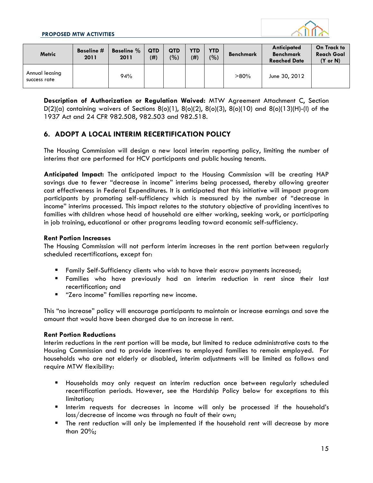

| <b>Metric</b>                  | <b>Baseline</b> #<br>2011 | <b>Baseline</b> %<br>2011 | <b>QTD</b><br>(#) | <b>QTD</b><br>(%) | <b>YTD</b><br>(#) | <b>YTD</b><br>(%) | <b>Benchmark</b> | Anticipated<br><b>Benchmark</b><br><b>Reached Date</b> | On Track to<br>Reach Goal<br>$(Y \text{ or } N)$ |
|--------------------------------|---------------------------|---------------------------|-------------------|-------------------|-------------------|-------------------|------------------|--------------------------------------------------------|--------------------------------------------------|
| Annual leasing<br>success rate |                           | 94%                       |                   |                   |                   |                   | $>80\%$          | June 30, 2012                                          |                                                  |

**Description of Authorization or Regulation Waived:** MTW Agreement Attachment C, Section D(2)(a) containing waivers of Sections 8(o)(1), 8(o)(2), 8(o)(3), 8(o)(10) and 8(o)(13)(H)-(I) of the 1937 Act and 24 CFR 982.508, 982.503 and 982.518.

#### **6. ADOPT A LOCAL INTERIM RECERTIFICATION POLICY**

The Housing Commission will design a new local interim reporting policy, limiting the number of interims that are performed for HCV participants and public housing tenants.

**Anticipated Impact:** The anticipated impact to the Housing Commission will be creating HAP savings due to fewer "decrease in income" interims being processed, thereby allowing greater cost effectiveness in Federal Expenditures. It is anticipated that this initiative will impact program participants by promoting self-sufficiency which is measured by the number of "decrease in income" interims processed. This impact relates to the statutory objective of providing incentives to families with children whose head of household are either working, seeking work, or participating in job training, educational or other programs leading toward economic self-sufficiency.

#### **Rent Portion Increases**

The Housing Commission will not perform interim increases in the rent portion between regularly scheduled recertifications, except for:

- **Family Self-Sufficiency clients who wish to have their escrow payments increased;**
- Families who have previously had an interim reduction in rent since their last recertification; and
- **"** "Zero income" families reporting new income.

This "no increase" policy will encourage participants to maintain or increase earnings and save the amount that would have been charged due to an increase in rent.

#### **Rent Portion Reductions**

Interim reductions in the rent portion will be made, but limited to reduce administrative costs to the Housing Commission and to provide incentives to employed families to remain employed. For households who are not elderly or disabled, interim adjustments will be limited as follows and require MTW flexibility:

- Households may only request an interim reduction once between regularly scheduled recertification periods. However, see the Hardship Policy below for exceptions to this limitation;
- Interim requests for decreases in income will only be processed if the household's loss/decrease of income was through no fault of their own;
- The rent reduction will only be implemented if the household rent will decrease by more than 20%;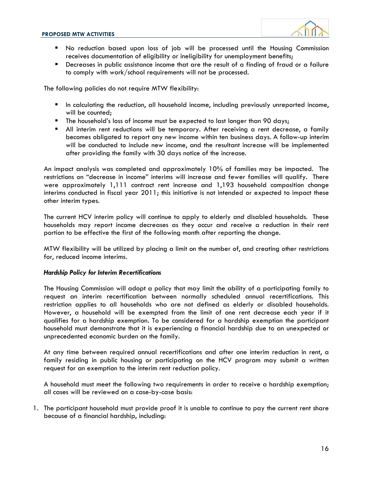

- No reduction based upon loss of job will be processed until the Housing Commission receives documentation of eligibility or ineligibility for unemployment benefits;
- **•** Decreases in public assistance income that are the result of a finding of fraud or a failure to comply with work/school requirements will not be processed.

The following policies do not require MTW flexibility:

- In calculating the reduction, all household income, including previously unreported income, will be counted;
- The household's loss of income must be expected to last longer than 90 days;
- All interim rent reductions will be temporary. After receiving a rent decrease, a family becomes obligated to report any new income within ten business days. A follow-up interim will be conducted to include new income, and the resultant increase will be implemented after providing the family with 30 days notice of the increase.

An impact analysis was completed and approximately 10% of families may be impacted. The restrictions on "decrease in income" interims will increase and fewer families will qualify. There were approximately 1,111 contract rent increase and 1,193 household composition change interims conducted in fiscal year 2011; this initiative is not intended or expected to impact these other interim types.

The current HCV interim policy will continue to apply to elderly and disabled households. These households may report income decreases as they occur and receive a reduction in their rent portion to be effective the first of the following month after reporting the change.

MTW flexibility will be utilized by placing a limit on the number of, and creating other restrictions for, reduced income interims.

#### *Hardship Policy for Interim Recertifications*

The Housing Commission will adopt a policy that may limit the ability of a participating family to request an interim recertification between normally scheduled annual recertifications. This restriction applies to all households who are not defined as elderly or disabled households. However, a household will be exempted from the limit of one rent decrease each year if it qualifies for a hardship exemption. To be considered for a hardship exemption the participant household must demonstrate that it is experiencing a financial hardship due to an unexpected or unprecedented economic burden on the family.

At any time between required annual recertifications and after one interim reduction in rent, a family residing in public housing or participating on the HCV program may submit a written request for an exemption to the interim rent reduction policy.

A household must meet the following two requirements in order to receive a hardship exemption; all cases will be reviewed on a case-by-case basis:

1. The participant household must provide proof it is unable to continue to pay the current rent share because of a financial hardship, including: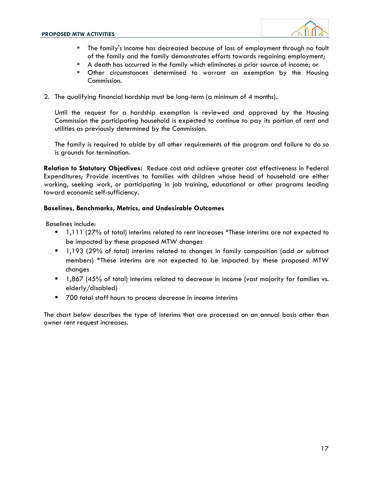

- The family's income has decreased because of loss of employment through no fault of the family and the family demonstrates efforts towards regaining employment;
- A death has occurred in the family which eliminates a prior source of income; or
- Other circumstances determined to warrant an exemption by the Housing Commission.
- 2. The qualifying financial hardship must be long-term (a minimum of 4 months).

Until the request for a hardship exemption is reviewed and approved by the Housing Commission the participating household is expected to continue to pay its portion of rent and utilities as previously determined by the Commission.

The family is required to abide by all other requirements of the program and failure to do so is grounds for termination.

**Relation to Statutory Objectives:** Reduce cost and achieve greater cost effectiveness in Federal Expenditures; Provide incentives to families with children whose head of household are either working, seeking work, or participating in job training, educational or other programs leading toward economic self-sufficiency.

#### **Baselines, Benchmarks, Metrics, and Undesirable Outcomes**

Baselines include:

- 1,111 (27% of total) interims related to rent increases \*These interims are not expected to be impacted by these proposed MTW changes
- 1,193 (29% of total) interims related to changes in family composition (add or subtract members) \*These interims are not expected to be impacted by these proposed MTW changes
- **1,867** (45% of total) interims related to decrease in income (vast majority for families vs. elderly/disabled)
- 700 total staff hours to process decrease in income interims

The chart below describes the type of interims that are processed on an annual basis other than owner rent request increases.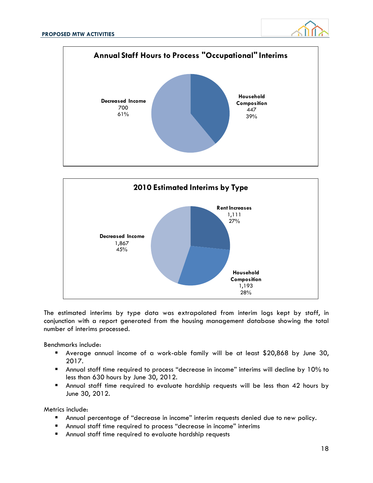





The estimated interims by type data was extrapolated from interim logs kept by staff, in conjunction with a report generated from the housing management database showing the total number of interims processed.

Benchmarks include:

- Average annual income of a work-able family will be at least \$20,868 by June 30, 2017.
- Annual staff time required to process "decrease in income" interims will decline by 10% to less than 630 hours by June 30, 2012.
- Annual staff time required to evaluate hardship requests will be less than 42 hours by June 30, 2012.

Metrics include:

- Annual percentage of "decrease in income" interim requests denied due to new policy.
- Annual staff time required to process "decrease in income" interims
- Annual staff time required to evaluate hardship requests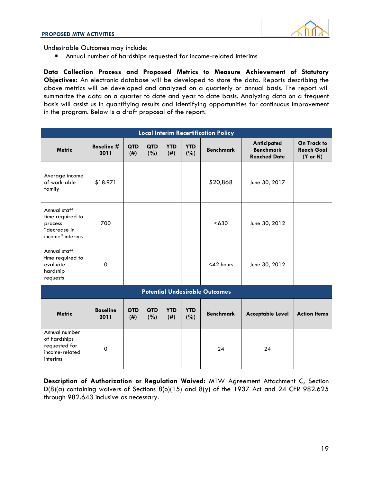

Undesirable Outcomes may include:

Annual number of hardships requested for income-related interims

**Data Collection Process and Proposed Metrics to Measure Achievement of Statutory Objectives:** An electronic database will be developed to store the data. Reports describing the above metrics will be developed and analyzed on a quarterly or annual basis. The report will summarize the data on a quarter to date and year to date basis. Analyzing data on a frequent basis will assist us in quantifying results and identifying opportunities for continuous improvement in the program. Below is a draft proposal of the report:

| <b>Local Interim Recertification Policy</b>                                     |                           |                    |                   |                   |                   |                                       |                                                        |                                                         |  |  |  |  |  |
|---------------------------------------------------------------------------------|---------------------------|--------------------|-------------------|-------------------|-------------------|---------------------------------------|--------------------------------------------------------|---------------------------------------------------------|--|--|--|--|--|
| <b>Metric</b>                                                                   | <b>Baseline #</b><br>2011 | <b>QTD</b><br>(#)  | QTD<br>(%)        | <b>YTD</b><br>(#) | <b>YTD</b><br>(%) | <b>Benchmark</b>                      | Anticipated<br><b>Benchmark</b><br><b>Reached Date</b> | On Track to<br><b>Reach Goal</b><br>$(Y \text{ or } N)$ |  |  |  |  |  |
| Average income<br>of work-able<br>family                                        | \$18.971                  |                    |                   |                   |                   | \$20,868                              | June 30, 2017                                          |                                                         |  |  |  |  |  |
| Annual staff<br>time required to<br>process<br>"decrease in<br>income" interims | 700                       |                    |                   |                   |                   | < 630                                 | June 30, 2012                                          |                                                         |  |  |  |  |  |
| Annual staff<br>time required to<br>evaluate<br>hardship<br>requests            | $\Omega$                  |                    |                   |                   |                   | $<$ 42 hours                          | June 30, 2012                                          |                                                         |  |  |  |  |  |
|                                                                                 |                           |                    |                   |                   |                   | <b>Potential Undesirable Outcomes</b> |                                                        |                                                         |  |  |  |  |  |
| <b>Metric</b>                                                                   | <b>Baseline</b><br>2011   | <b>QTD</b><br>(# ) | <b>QTD</b><br>(%) | <b>YTD</b><br>(#) | <b>YTD</b><br>(%) | <b>Benchmark</b>                      | <b>Acceptable Level</b>                                | <b>Action Items</b>                                     |  |  |  |  |  |
| Annual number<br>of hardships<br>requested for<br>income-related<br>interims    | 0                         |                    |                   |                   |                   | 24                                    | 24                                                     |                                                         |  |  |  |  |  |

**Description of Authorization or Regulation Waived:** MTW Agreement Attachment C, Section D(8)(a) containing waivers of Sections 8(o)(15) and 8(y) of the 1937 Act and 24 CFR 982.625 through 982.643 inclusive as necessary.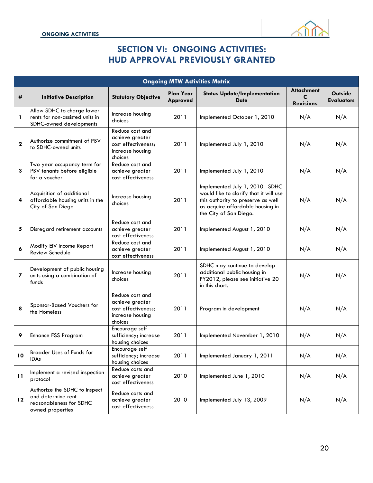

## **SECTION VI: ONGOING ACTIVITIES: HUD APPROVAL PREVIOUSLY GRANTED**

| <b>Ongoing MTW Activities Matrix</b> |                                                                                                    |                                                                                          |                              |                                                                                                                                                                              |                                            |                              |  |  |  |  |
|--------------------------------------|----------------------------------------------------------------------------------------------------|------------------------------------------------------------------------------------------|------------------------------|------------------------------------------------------------------------------------------------------------------------------------------------------------------------------|--------------------------------------------|------------------------------|--|--|--|--|
| #                                    | <b>Initiative Description</b>                                                                      | <b>Statutory Objective</b>                                                               | <b>Plan Year</b><br>Approved | <b>Status Update/Implementation</b><br><b>Date</b>                                                                                                                           | <b>Attachment</b><br>C<br><b>Revisions</b> | Outside<br><b>Evaluators</b> |  |  |  |  |
| 1                                    | Allow SDHC to charge lower<br>rents for non-assisted units in<br>SDHC-owned developments           | Increase housing<br>choices                                                              | 2011                         | Implemented October 1, 2010                                                                                                                                                  | N/A                                        | N/A                          |  |  |  |  |
| $\mathbf{2}$                         | Authorize commitment of PBV<br>to SDHC-owned units                                                 | Reduce cost and<br>achieve greater<br>cost effectiveness;<br>increase housing<br>choices | 2011                         | Implemented July 1, 2010                                                                                                                                                     | N/A                                        | N/A                          |  |  |  |  |
| 3                                    | Two year occupancy term for<br>PBV tenants before eligible<br>for a voucher                        | Reduce cost and<br>achieve greater<br>cost effectiveness                                 | 2011                         | Implemented July 1, 2010                                                                                                                                                     | N/A                                        | N/A                          |  |  |  |  |
| 4                                    | Acquisition of additional<br>affordable housing units in the<br>City of San Diego                  | Increase housing<br>choices                                                              | 2011                         | Implemented July 1, 2010. SDHC<br>would like to clarify that it will use<br>this authority to preserve as well<br>as acquire affordable housing in<br>the City of San Diego. | N/A                                        | N/A                          |  |  |  |  |
| 5                                    | Disregard retirement accounts                                                                      | Reduce cost and<br>achieve greater<br>cost effectiveness                                 | 2011                         | Implemented August 1, 2010                                                                                                                                                   | N/A                                        | N/A                          |  |  |  |  |
| 6                                    | Modify EIV Income Report<br><b>Review Schedule</b>                                                 | Reduce cost and<br>achieve greater<br>cost effectiveness                                 | 2011                         | Implemented August 1, 2010                                                                                                                                                   | N/A                                        | N/A                          |  |  |  |  |
| 7                                    | Development of public housing<br>units using a combination of<br>funds                             | Increase housing<br>choices                                                              | 2011                         | SDHC may continue to develop<br>additional public housing in<br>FY2012, please see initiative 20<br>in this chart.                                                           | N/A                                        | N/A                          |  |  |  |  |
| 8                                    | Sponsor-Based Vouchers for<br>the Homeless                                                         | Reduce cost and<br>achieve greater<br>cost effectiveness;<br>increase housing<br>choices | 2011                         | Program in development                                                                                                                                                       | N/A                                        | N/A                          |  |  |  |  |
| 9                                    | <b>Enhance FSS Program</b>                                                                         | Encourage self<br>sufficiency; increase<br>housing choices                               | 2011                         | Implemented November 1, 2010                                                                                                                                                 | N/A                                        | N/A                          |  |  |  |  |
| 10                                   | Broader Uses of Funds for<br><b>IDAs</b>                                                           | Encourage self<br>sufficiency; increase<br>housing choices                               | 2011                         | Implemented January 1, 2011                                                                                                                                                  | N/A                                        | N/A                          |  |  |  |  |
| 11                                   | Implement a revised inspection<br>protocol                                                         | Reduce costs and<br>achieve greater<br>cost effectiveness                                | 2010                         | Implemented June 1, 2010                                                                                                                                                     | N/A                                        | N/A                          |  |  |  |  |
| 12                                   | Authorize the SDHC to inspect<br>and determine rent<br>reasonableness for SDHC<br>owned properties | Reduce costs and<br>achieve greater<br>cost effectiveness                                | 2010                         | Implemented July 13, 2009                                                                                                                                                    | N/A                                        | N/A                          |  |  |  |  |